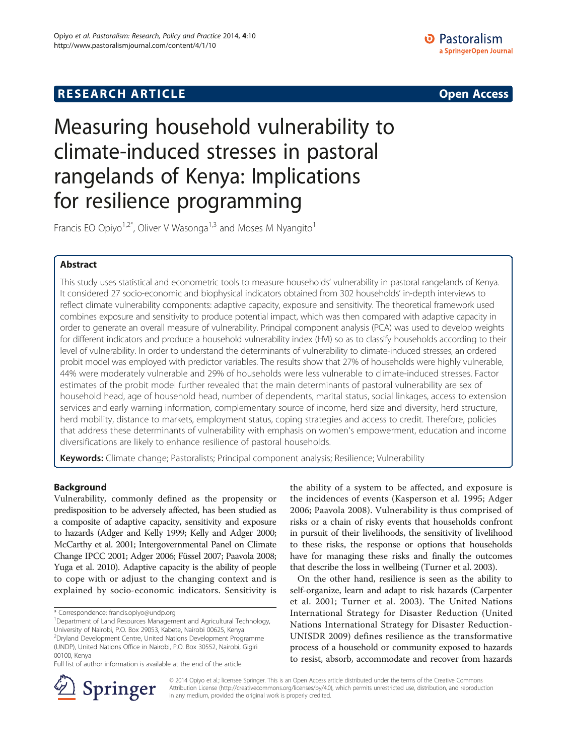# **RESEARCH ARTICLE Example 2014 12:30 The SEAR CH ACCESS**



# Measuring household vulnerability to climate-induced stresses in pastoral rangelands of Kenya: Implications for resilience programming

Francis EO Opiyo<sup>1,2\*</sup>, Oliver V Wasonga<sup>1,3</sup> and Moses M Nyangito<sup>1</sup>

# Abstract

This study uses statistical and econometric tools to measure households' vulnerability in pastoral rangelands of Kenya. It considered 27 socio-economic and biophysical indicators obtained from 302 households' in-depth interviews to reflect climate vulnerability components: adaptive capacity, exposure and sensitivity. The theoretical framework used combines exposure and sensitivity to produce potential impact, which was then compared with adaptive capacity in order to generate an overall measure of vulnerability. Principal component analysis (PCA) was used to develop weights for different indicators and produce a household vulnerability index (HVI) so as to classify households according to their level of vulnerability. In order to understand the determinants of vulnerability to climate-induced stresses, an ordered probit model was employed with predictor variables. The results show that 27% of households were highly vulnerable, 44% were moderately vulnerable and 29% of households were less vulnerable to climate-induced stresses. Factor estimates of the probit model further revealed that the main determinants of pastoral vulnerability are sex of household head, age of household head, number of dependents, marital status, social linkages, access to extension services and early warning information, complementary source of income, herd size and diversity, herd structure, herd mobility, distance to markets, employment status, coping strategies and access to credit. Therefore, policies that address these determinants of vulnerability with emphasis on women's empowerment, education and income diversifications are likely to enhance resilience of pastoral households.

Keywords: Climate change; Pastoralists; Principal component analysis; Resilience; Vulnerability

# Background

Vulnerability, commonly defined as the propensity or predisposition to be adversely affected, has been studied as a composite of adaptive capacity, sensitivity and exposure to hazards (Adger and Kelly [1999;](#page-13-0) Kelly and Adger [2000](#page-14-0); McCarthy et al. [2001;](#page-14-0) Intergovernmental Panel on Climate Change IPCC [2001](#page-13-0); Adger [2006;](#page-13-0) Füssel [2007;](#page-13-0) Paavola [2008](#page-14-0); Yuga et al. [2010\)](#page-14-0). Adaptive capacity is the ability of people to cope with or adjust to the changing context and is explained by socio-economic indicators. Sensitivity is

the ability of a system to be affected, and exposure is the incidences of events (Kasperson et al. [1995](#page-14-0); Adger [2006](#page-13-0); Paavola [2008\)](#page-14-0). Vulnerability is thus comprised of risks or a chain of risky events that households confront in pursuit of their livelihoods, the sensitivity of livelihood to these risks, the response or options that households have for managing these risks and finally the outcomes that describe the loss in wellbeing (Turner et al. [2003](#page-14-0)).

On the other hand, resilience is seen as the ability to self-organize, learn and adapt to risk hazards (Carpenter et al. [2001;](#page-13-0) Turner et al. [2003](#page-14-0)). The United Nations International Strategy for Disaster Reduction (United Nations International Strategy for Disaster Reduction-UNISDR [2009](#page-14-0)) defines resilience as the transformative process of a household or community exposed to hazards to resist, absorb, accommodate and recover from hazards



© 2014 Opiyo et al.; licensee Springer. This is an Open Access article distributed under the terms of the Creative Commons Attribution License [\(http://creativecommons.org/licenses/by/4.0\)](http://creativecommons.org/licenses/by/4.0), which permits unrestricted use, distribution, and reproduction in any medium, provided the original work is properly credited.

<sup>\*</sup> Correspondence: [francis.opiyo@undp.org](mailto:francis.opiyo@undp.org) <sup>1</sup>

<sup>&</sup>lt;sup>1</sup>Department of Land Resources Management and Agricultural Technology, University of Nairobi, P.O. Box 29053, Kabete, Nairobi 00625, Kenya

<sup>2</sup> Dryland Development Centre, United Nations Development Programme (UNDP), United Nations Office in Nairobi, P.O. Box 30552, Nairobi, Gigiri 00100, Kenya

Full list of author information is available at the end of the article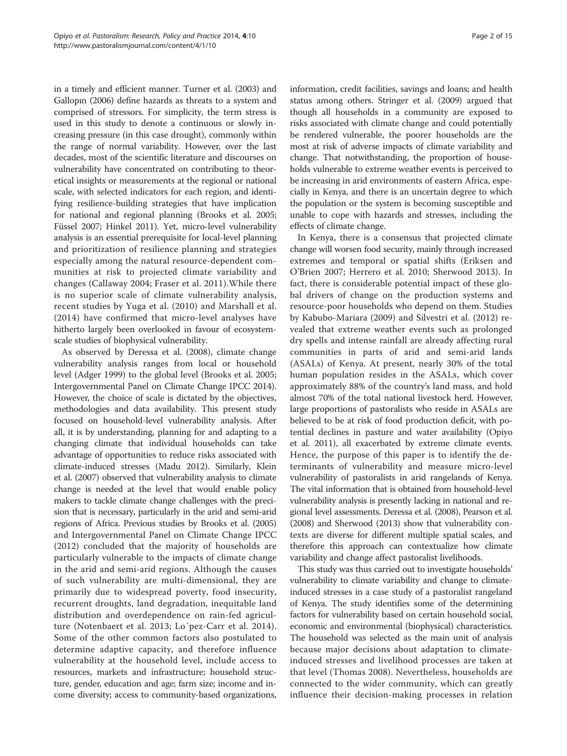in a timely and efficient manner. Turner et al. [\(2003](#page-14-0)) and Gallopın [\(2006\)](#page-13-0) define hazards as threats to a system and comprised of stressors. For simplicity, the term stress is used in this study to denote a continuous or slowly increasing pressure (in this case drought), commonly within the range of normal variability. However, over the last decades, most of the scientific literature and discourses on vulnerability have concentrated on contributing to theoretical insights or measurements at the regional or national scale, with selected indicators for each region, and identifying resilience-building strategies that have implication for national and regional planning (Brooks et al. [2005](#page-13-0); Füssel [2007;](#page-13-0) Hinkel [2011\)](#page-13-0). Yet, micro-level vulnerability analysis is an essential prerequisite for local-level planning and prioritization of resilience planning and strategies especially among the natural resource-dependent communities at risk to projected climate variability and changes (Callaway [2004](#page-13-0); Fraser et al. [2011\)](#page-13-0).While there is no superior scale of climate vulnerability analysis, recent studies by Yuga et al. ([2010](#page-14-0)) and Marshall et al. ([2014](#page-14-0)) have confirmed that micro-level analyses have hitherto largely been overlooked in favour of ecosystemscale studies of biophysical vulnerability.

As observed by Deressa et al. ([2008](#page-13-0)), climate change vulnerability analysis ranges from local or household level (Adger [1999\)](#page-13-0) to the global level (Brooks et al. [2005](#page-13-0); Intergovernmental Panel on Climate Change IPCC [2014](#page-14-0)). However, the choice of scale is dictated by the objectives, methodologies and data availability. This present study focused on household-level vulnerability analysis. After all, it is by understanding, planning for and adapting to a changing climate that individual households can take advantage of opportunities to reduce risks associated with climate-induced stresses (Madu [2012](#page-14-0)). Similarly, Klein et al. ([2007](#page-14-0)) observed that vulnerability analysis to climate change is needed at the level that would enable policy makers to tackle climate change challenges with the precision that is necessary, particularly in the arid and semi-arid regions of Africa. Previous studies by Brooks et al. [\(2005](#page-13-0)) and Intergovernmental Panel on Climate Change IPCC ([2012\)](#page-13-0) concluded that the majority of households are particularly vulnerable to the impacts of climate change in the arid and semi-arid regions. Although the causes of such vulnerability are multi-dimensional, they are primarily due to widespread poverty, food insecurity, recurrent droughts, land degradation, inequitable land distribution and overdependence on rain-fed agriculture (Notenbaert et al. [2013;](#page-14-0) Lo´pez-Carr et al. [2014](#page-14-0)). Some of the other common factors also postulated to determine adaptive capacity, and therefore influence vulnerability at the household level, include access to resources, markets and infrastructure; household structure, gender, education and age; farm size; income and income diversity; access to community-based organizations, information, credit facilities, savings and loans; and health status among others. Stringer et al. [\(2009\)](#page-14-0) argued that though all households in a community are exposed to risks associated with climate change and could potentially be rendered vulnerable, the poorer households are the most at risk of adverse impacts of climate variability and change. That notwithstanding, the proportion of households vulnerable to extreme weather events is perceived to be increasing in arid environments of eastern Africa, especially in Kenya, and there is an uncertain degree to which the population or the system is becoming susceptible and unable to cope with hazards and stresses, including the effects of climate change.

In Kenya, there is a consensus that projected climate change will worsen food security, mainly through increased extremes and temporal or spatial shifts (Eriksen and O'Brien [2007;](#page-13-0) Herrero et al. [2010;](#page-13-0) Sherwood [2013](#page-14-0)). In fact, there is considerable potential impact of these global drivers of change on the production systems and resource-poor households who depend on them. Studies by Kabubo-Mariara ([2009\)](#page-14-0) and Silvestri et al. [\(2012](#page-14-0)) revealed that extreme weather events such as prolonged dry spells and intense rainfall are already affecting rural communities in parts of arid and semi-arid lands (ASALs) of Kenya. At present, nearly 30% of the total human population resides in the ASALs, which cover approximately 88% of the country's land mass, and hold almost 70% of the total national livestock herd. However, large proportions of pastoralists who reside in ASALs are believed to be at risk of food production deficit, with potential declines in pasture and water availability (Opiyo et al. [2011\)](#page-14-0), all exacerbated by extreme climate events. Hence, the purpose of this paper is to identify the determinants of vulnerability and measure micro-level vulnerability of pastoralists in arid rangelands of Kenya. The vital information that is obtained from household-level vulnerability analysis is presently lacking in national and regional level assessments. Deressa et al. [\(2008\)](#page-13-0), Pearson et al. ([2008](#page-14-0)) and Sherwood [\(2013\)](#page-14-0) show that vulnerability contexts are diverse for different multiple spatial scales, and therefore this approach can contextualize how climate variability and change affect pastoralist livelihoods.

This study was thus carried out to investigate households' vulnerability to climate variability and change to climateinduced stresses in a case study of a pastoralist rangeland of Kenya. The study identifies some of the determining factors for vulnerability based on certain household social, economic and environmental (biophysical) characteristics. The household was selected as the main unit of analysis because major decisions about adaptation to climateinduced stresses and livelihood processes are taken at that level (Thomas [2008](#page-14-0)). Nevertheless, households are connected to the wider community, which can greatly influence their decision-making processes in relation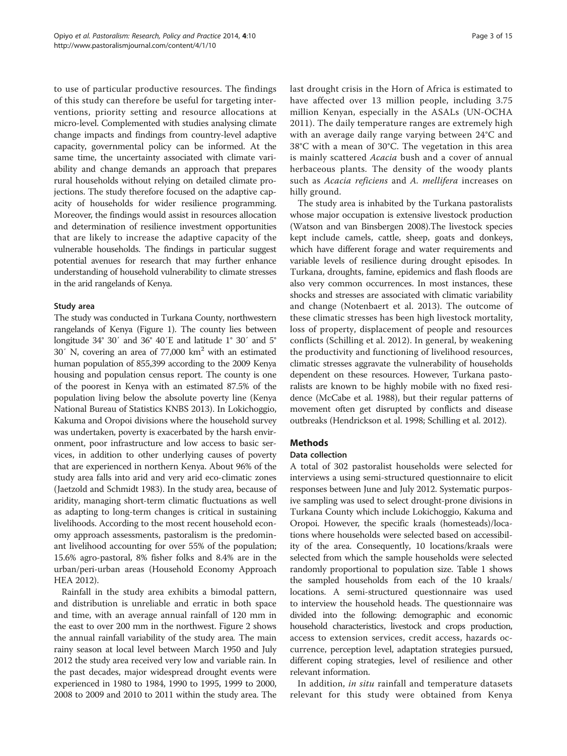to use of particular productive resources. The findings of this study can therefore be useful for targeting interventions, priority setting and resource allocations at micro-level. Complemented with studies analysing climate change impacts and findings from country-level adaptive capacity, governmental policy can be informed. At the same time, the uncertainty associated with climate variability and change demands an approach that prepares rural households without relying on detailed climate projections. The study therefore focused on the adaptive capacity of households for wider resilience programming. Moreover, the findings would assist in resources allocation and determination of resilience investment opportunities that are likely to increase the adaptive capacity of the vulnerable households. The findings in particular suggest potential avenues for research that may further enhance understanding of household vulnerability to climate stresses in the arid rangelands of Kenya.

# Study area

The study was conducted in Turkana County, northwestern rangelands of Kenya (Figure [1\)](#page-3-0). The county lies between longitude 34° 30′ and 36° 40′E and latitude 1° 30′ and 5° 30<sup> $\degree$ </sup> N, covering an area of 77,000 km<sup>2</sup> with an estimated human population of 855,399 according to the 2009 Kenya housing and population census report. The county is one of the poorest in Kenya with an estimated 87.5% of the population living below the absolute poverty line (Kenya National Bureau of Statistics KNBS [2013](#page-14-0)). In Lokichoggio, Kakuma and Oropoi divisions where the household survey was undertaken, poverty is exacerbated by the harsh environment, poor infrastructure and low access to basic services, in addition to other underlying causes of poverty that are experienced in northern Kenya. About 96% of the study area falls into arid and very arid eco-climatic zones (Jaetzold and Schmidt [1983\)](#page-14-0). In the study area, because of aridity, managing short-term climatic fluctuations as well as adapting to long-term changes is critical in sustaining livelihoods. According to the most recent household economy approach assessments, pastoralism is the predominant livelihood accounting for over 55% of the population; 15.6% agro-pastoral, 8% fisher folks and 8.4% are in the urban/peri-urban areas (Household Economy Approach HEA [2012\)](#page-13-0).

Rainfall in the study area exhibits a bimodal pattern, and distribution is unreliable and erratic in both space and time, with an average annual rainfall of 120 mm in the east to over 200 mm in the northwest. Figure [2](#page-4-0) shows the annual rainfall variability of the study area. The main rainy season at local level between March 1950 and July 2012 the study area received very low and variable rain. In the past decades, major widespread drought events were experienced in 1980 to 1984, 1990 to 1995, 1999 to 2000, 2008 to 2009 and 2010 to 2011 within the study area. The last drought crisis in the Horn of Africa is estimated to have affected over 13 million people, including 3.75 million Kenyan, especially in the ASALs (UN-OCHA [2011](#page-14-0)). The daily temperature ranges are extremely high with an average daily range varying between 24°C and 38°C with a mean of 30°C. The vegetation in this area is mainly scattered Acacia bush and a cover of annual herbaceous plants. The density of the woody plants such as Acacia reficiens and A. mellifera increases on hilly ground.

The study area is inhabited by the Turkana pastoralists whose major occupation is extensive livestock production (Watson and van Binsbergen [2008](#page-14-0)).The livestock species kept include camels, cattle, sheep, goats and donkeys, which have different forage and water requirements and variable levels of resilience during drought episodes. In Turkana, droughts, famine, epidemics and flash floods are also very common occurrences. In most instances, these shocks and stresses are associated with climatic variability and change (Notenbaert et al. [2013](#page-14-0)). The outcome of these climatic stresses has been high livestock mortality, loss of property, displacement of people and resources conflicts (Schilling et al. [2012](#page-14-0)). In general, by weakening the productivity and functioning of livelihood resources, climatic stresses aggravate the vulnerability of households dependent on these resources. However, Turkana pastoralists are known to be highly mobile with no fixed residence (McCabe et al. [1988\)](#page-14-0), but their regular patterns of movement often get disrupted by conflicts and disease outbreaks (Hendrickson et al. [1998;](#page-13-0) Schilling et al. [2012](#page-14-0)).

# **Methods**

# Data collection

A total of 302 pastoralist households were selected for interviews a using semi-structured questionnaire to elicit responses between June and July 2012. Systematic purposive sampling was used to select drought-prone divisions in Turkana County which include Lokichoggio, Kakuma and Oropoi. However, the specific kraals (homesteads)/locations where households were selected based on accessibility of the area. Consequently, 10 locations/kraals were selected from which the sample households were selected randomly proportional to population size. Table [1](#page-4-0) shows the sampled households from each of the 10 kraals/ locations. A semi-structured questionnaire was used to interview the household heads. The questionnaire was divided into the following: demographic and economic household characteristics, livestock and crops production, access to extension services, credit access, hazards occurrence, perception level, adaptation strategies pursued, different coping strategies, level of resilience and other relevant information.

In addition, *in situ* rainfall and temperature datasets relevant for this study were obtained from Kenya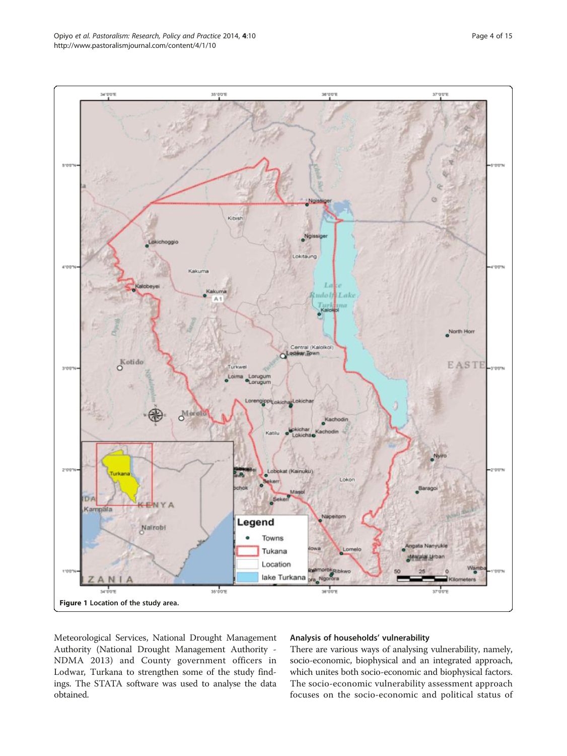<span id="page-3-0"></span>

Meteorological Services, National Drought Management Authority (National Drought Management Authority - NDMA [2013\)](#page-14-0) and County government officers in Lodwar, Turkana to strengthen some of the study findings. The STATA software was used to analyse the data obtained.

# Analysis of households' vulnerability

There are various ways of analysing vulnerability, namely, socio-economic, biophysical and an integrated approach, which unites both socio-economic and biophysical factors. The socio-economic vulnerability assessment approach focuses on the socio-economic and political status of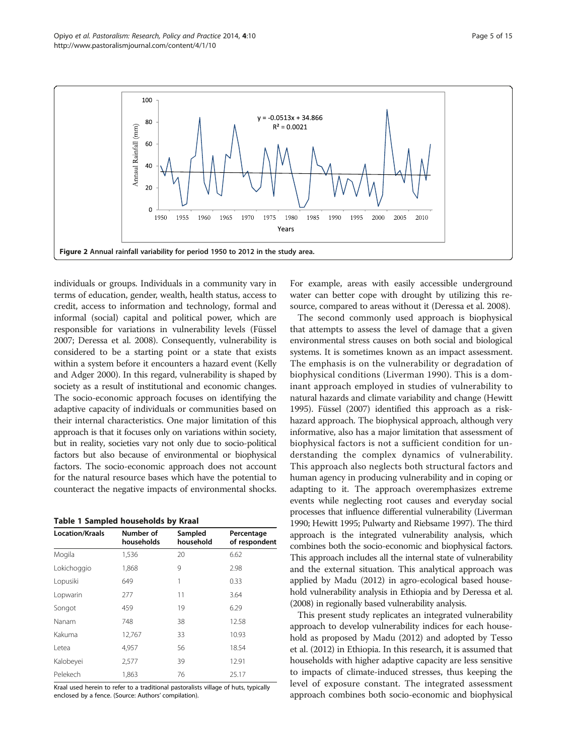<span id="page-4-0"></span>

individuals or groups. Individuals in a community vary in terms of education, gender, wealth, health status, access to credit, access to information and technology, formal and informal (social) capital and political power, which are responsible for variations in vulnerability levels (Füssel [2007;](#page-13-0) Deressa et al. [2008\)](#page-13-0). Consequently, vulnerability is considered to be a starting point or a state that exists within a system before it encounters a hazard event (Kelly and Adger [2000](#page-14-0)). In this regard, vulnerability is shaped by society as a result of institutional and economic changes. The socio-economic approach focuses on identifying the adaptive capacity of individuals or communities based on their internal characteristics. One major limitation of this approach is that it focuses only on variations within society, but in reality, societies vary not only due to socio-political factors but also because of environmental or biophysical factors. The socio-economic approach does not account for the natural resource bases which have the potential to counteract the negative impacts of environmental shocks.

#### Table 1 Sampled households by Kraal

| <b>Location/Kraals</b> | Number of<br>households | Sampled<br>household | Percentage<br>of respondent |
|------------------------|-------------------------|----------------------|-----------------------------|
| Mogila                 | 1,536                   | 20                   | 6.62                        |
| Lokichoggio            | 1,868                   | 9                    | 2.98                        |
| Lopusiki               | 649                     | 1                    | 0.33                        |
| Lopwarin               | 277                     | 11                   | 3.64                        |
| Songot                 | 459                     | 19                   | 6.29                        |
| Nanam                  | 748                     | 38                   | 12.58                       |
| Kakuma                 | 12,767                  | 33                   | 10.93                       |
| l etea                 | 4,957                   | 56                   | 18.54                       |
| Kalobeyei              | 2,577                   | 39                   | 12.91                       |
| Pelekech               | 1,863                   | 76                   | 25.17                       |

Kraal used herein to refer to a traditional pastoralists village of huts, typically enclosed by a fence. (Source: Authors' compilation).

For example, areas with easily accessible underground water can better cope with drought by utilizing this resource, compared to areas without it (Deressa et al. [2008\)](#page-13-0).

The second commonly used approach is biophysical that attempts to assess the level of damage that a given environmental stress causes on both social and biological systems. It is sometimes known as an impact assessment. The emphasis is on the vulnerability or degradation of biophysical conditions (Liverman [1990](#page-14-0)). This is a dominant approach employed in studies of vulnerability to natural hazards and climate variability and change (Hewitt [1995\)](#page-13-0). Füssel ([2007\)](#page-13-0) identified this approach as a riskhazard approach. The biophysical approach, although very informative, also has a major limitation that assessment of biophysical factors is not a sufficient condition for understanding the complex dynamics of vulnerability. This approach also neglects both structural factors and human agency in producing vulnerability and in coping or adapting to it. The approach overemphasizes extreme events while neglecting root causes and everyday social processes that influence differential vulnerability (Liverman [1990;](#page-14-0) Hewitt [1995](#page-13-0); Pulwarty and Riebsame [1997\)](#page-14-0). The third approach is the integrated vulnerability analysis, which combines both the socio-economic and biophysical factors. This approach includes all the internal state of vulnerability and the external situation. This analytical approach was applied by Madu [\(2012](#page-14-0)) in agro-ecological based household vulnerability analysis in Ethiopia and by Deressa et al. ([2008\)](#page-13-0) in regionally based vulnerability analysis.

This present study replicates an integrated vulnerability approach to develop vulnerability indices for each household as proposed by Madu [\(2012](#page-14-0)) and adopted by Tesso et al. [\(2012\)](#page-14-0) in Ethiopia. In this research, it is assumed that households with higher adaptive capacity are less sensitive to impacts of climate-induced stresses, thus keeping the level of exposure constant. The integrated assessment approach combines both socio-economic and biophysical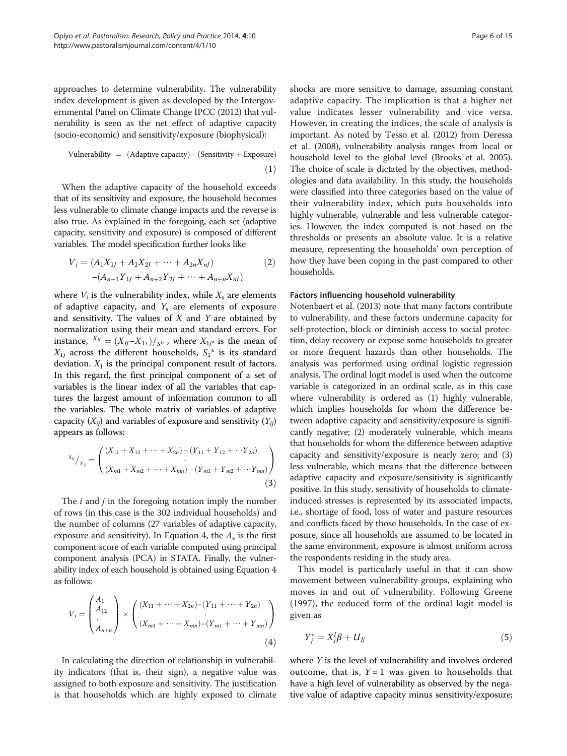approaches to determine vulnerability. The vulnerability index development is given as developed by the Intergovernmental Panel on Climate Change IPCC ([2012\)](#page-13-0) that vulnerability is seen as the net effect of adaptive capacity (socio-economic) and sensitivity/exposure (biophysical):

Vulnerability ¼ ð Þ Adaptive capacity − ð Þ Sensitivity þ Exposure ð1Þ

When the adaptive capacity of the household exceeds that of its sensitivity and exposure, the household becomes less vulnerable to climate change impacts and the reverse is also true. As explained in the foregoing, each set (adaptive capacity, sensitivity and exposure) is composed of different variables. The model specification further looks like

$$
V_i = (A_1 X_{1J} + A_2 X_{2J} + \dots + A_{2n} X_{nJ})
$$
  
-
$$
(A_{n+1} Y_{1J} + A_{n+2} Y_{2J} + \dots + A_{n+n} X_{nJ})
$$

$$
(2)
$$

where  $V_i$  is the vulnerability index, while  $X_s$  are elements of adaptive capacity, and  $Y_s$  are elements of exposure and sensitivity. The values of  $X$  and  $Y$  are obtained by normalization using their mean and standard errors. For instance,  $X_{ij} = (X_{ij} - X_{1*})/_{S^{1*}}$ , where  $X_{1j*}$  is the mean of  $X_{1j}$  across the different households,  $S_1^*$  is its standard deviation.  $X_1$  is the principal component result of factors. In this regard, the first principal component of a set of variables is the linear index of all the variables that captures the largest amount of information common to all the variables. The whole matrix of variables of adaptive capacity  $(X_{ii})$  and variables of exposure and sensitivity  $(Y_{ii})$ appears as follows:

$$
x_{ij}/Y_{ij} = \begin{pmatrix} (X_{11} + X_{12} + \dots + X_{2n}) - (Y_{11} + Y_{12} + \dots + Y_{2n}) \\ \vdots \\ (X_{m1} + X_{m2} + \dots + X_{mn}) - (Y_{m1} + Y_{m2} + \dots + Y_{mn}) \end{pmatrix}
$$
\n(3)

The  $i$  and  $j$  in the foregoing notation imply the number of rows (in this case is the 302 individual households) and the number of columns (27 variables of adaptive capacity, exposure and sensitivity). In Equation 4, the  $A_s$  is the first component score of each variable computed using principal component analysis (PCA) in STATA. Finally, the vulnerability index of each household is obtained using Equation 4 as follows:

$$
V_{i} = \begin{pmatrix} A_{1} \\ A_{12} \\ \vdots \\ A_{n+n} \end{pmatrix} \times \begin{pmatrix} (X_{11} + \dots + X_{2n}) - (Y_{11} + \dots + Y_{2n}) \\ \vdots \\ (X_{m1} + \dots + X_{mn}) - (Y_{m1} + \dots + Y_{mn}) \end{pmatrix}
$$
(4)

In calculating the direction of relationship in vulnerability indicators (that is, their sign), a negative value was assigned to both exposure and sensitivity. The justification is that households which are highly exposed to climate

shocks are more sensitive to damage, assuming constant adaptive capacity. The implication is that a higher net value indicates lesser vulnerability and vice versa. However, in creating the indices, the scale of analysis is important. As noted by Tesso et al. [\(2012\)](#page-14-0) from Deressa et al. [\(2008\)](#page-13-0), vulnerability analysis ranges from local or household level to the global level (Brooks et al. [2005](#page-13-0)). The choice of scale is dictated by the objectives, methodologies and data availability. In this study, the households were classified into three categories based on the value of their vulnerability index, which puts households into highly vulnerable, vulnerable and less vulnerable categories. However, the index computed is not based on the thresholds or presents an absolute value. It is a relative measure, representing the households' own perception of how they have been coping in the past compared to other households.

#### Factors influencing household vulnerability

Notenbaert et al. [\(2013](#page-14-0)) note that many factors contribute to vulnerability, and these factors undermine capacity for self-protection, block or diminish access to social protection, delay recovery or expose some households to greater or more frequent hazards than other households. The analysis was performed using ordinal logistic regression analysis. The ordinal logit model is used when the outcome variable is categorized in an ordinal scale, as in this case where vulnerability is ordered as (1) highly vulnerable, which implies households for whom the difference between adaptive capacity and sensitivity/exposure is significantly negative; (2) moderately vulnerable, which means that households for whom the difference between adaptive capacity and sensitivity/exposure is nearly zero; and (3) less vulnerable, which means that the difference between adaptive capacity and exposure/sensitivity is significantly positive. In this study, sensitivity of households to climateinduced stresses is represented by its associated impacts, i.e., shortage of food, loss of water and pasture resources and conflicts faced by those households. In the case of exposure, since all households are assumed to be located in the same environment, exposure is almost uniform across the respondents residing in the study area.

This model is particularly useful in that it can show movement between vulnerability groups, explaining who moves in and out of vulnerability. Following Greene ([1997\)](#page-13-0), the reduced form of the ordinal logit model is given as

$$
Y_j^* = X_j^I \beta + U_{Ij} \tag{5}
$$

where *Y* is the level of vulnerability and involves ordered outcome, that is,  $Y = 1$  was given to households that have a high level of vulnerability as observed by the negative value of adaptive capacity minus sensitivity/exposure;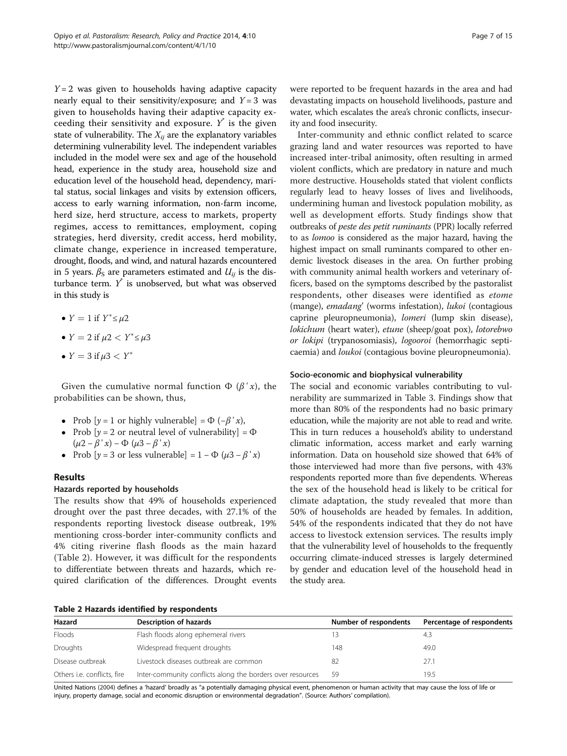$Y = 2$  was given to households having adaptive capacity nearly equal to their sensitivity/exposure; and  $Y = 3$  was given to households having their adaptive capacity exceeding their sensitivity and exposure.  $Y^*$  is the given state of vulnerability. The  $X_{ii}$  are the explanatory variables determining vulnerability level. The independent variables included in the model were sex and age of the household head, experience in the study area, household size and education level of the household head, dependency, marital status, social linkages and visits by extension officers, access to early warning information, non-farm income, herd size, herd structure, access to markets, property regimes, access to remittances, employment, coping strategies, herd diversity, credit access, herd mobility, climate change, experience in increased temperature, drought, floods, and wind, and natural hazards encountered in 5 years.  $\beta_s$  are parameters estimated and  $U_{ii}$  is the disturbance term.  $Y^*$  is unobserved, but what was observed in this study is

- $Y = 1$  if  $Y^* \le \mu 2$
- $Y = 2$  if  $\mu 2 < Y^* \le \mu 3$
- $Y = 3$  if  $\mu 3 < Y^*$

Given the cumulative normal function  $\Phi$  ( $\beta$ ' x), the probabilities can be shown, thus,

- Prob  $[\gamma = 1$  or highly vulnerable] =  $\Phi(-\beta' x)$ ,
- Prob  $[y = 2 \text{ or neutral level of vulnerability}] = \Phi$  $(\mu 2 - \beta' x) - \Phi (\mu 3 - \beta' x)$
- Prob  $[\gamma = 3 \text{ or less vulnerable}] = 1 \Phi (\mu 3 \beta' x)$

# Results

# Hazards reported by households

The results show that 49% of households experienced drought over the past three decades, with 27.1% of the respondents reporting livestock disease outbreak, 19% mentioning cross-border inter-community conflicts and 4% citing riverine flash floods as the main hazard (Table 2). However, it was difficult for the respondents to differentiate between threats and hazards, which required clarification of the differences. Drought events were reported to be frequent hazards in the area and had devastating impacts on household livelihoods, pasture and water, which escalates the area's chronic conflicts, insecurity and food insecurity.

Inter-community and ethnic conflict related to scarce grazing land and water resources was reported to have increased inter-tribal animosity, often resulting in armed violent conflicts, which are predatory in nature and much more destructive. Households stated that violent conflicts regularly lead to heavy losses of lives and livelihoods, undermining human and livestock population mobility, as well as development efforts. Study findings show that outbreaks of peste des petit ruminants (PPR) locally referred to as lomoo is considered as the major hazard, having the highest impact on small ruminants compared to other endemic livestock diseases in the area. On further probing with community animal health workers and veterinary officers, based on the symptoms described by the pastoralist respondents, other diseases were identified as etome (mange), emadang' (worms infestation), lukoi (contagious caprine pleuropneumonia), lomeri (lump skin disease), lokichum (heart water), etune (sheep/goat pox), lotorebwo or lokipi (trypanosomiasis), logooroi (hemorrhagic septicaemia) and loukoi (contagious bovine pleuropneumonia).

#### Socio-economic and biophysical vulnerability

The social and economic variables contributing to vulnerability are summarized in Table [3](#page-7-0). Findings show that more than 80% of the respondents had no basic primary education, while the majority are not able to read and write. This in turn reduces a household's ability to understand climatic information, access market and early warning information. Data on household size showed that 64% of those interviewed had more than five persons, with 43% respondents reported more than five dependents. Whereas the sex of the household head is likely to be critical for climate adaptation, the study revealed that more than 50% of households are headed by females. In addition, 54% of the respondents indicated that they do not have access to livestock extension services. The results imply that the vulnerability level of households to the frequently occurring climate-induced stresses is largely determined by gender and education level of the household head in the study area.

| Table 2 Hazards identified by respondents |  |  |
|-------------------------------------------|--|--|
|-------------------------------------------|--|--|

| Hazard                      | Description of hazards                                     | Number of respondents | Percentage of respondents |
|-----------------------------|------------------------------------------------------------|-----------------------|---------------------------|
| Floods                      | Flash floods along ephemeral rivers                        |                       |                           |
| Droughts                    | Widespread frequent droughts                               | 148                   | 49.0                      |
| Disease outbreak            | Livestock diseases outbreak are common                     | 82                    | 27.1                      |
| Others i.e. conflicts, fire | Inter-community conflicts along the borders over resources | 59                    | 19.5                      |

United Nations ([2004](#page-14-0)) defines a 'hazard' broadly as "a potentially damaging physical event, phenomenon or human activity that may cause the loss of life or injury, property damage, social and economic disruption or environmental degradation". (Source: Authors' compilation).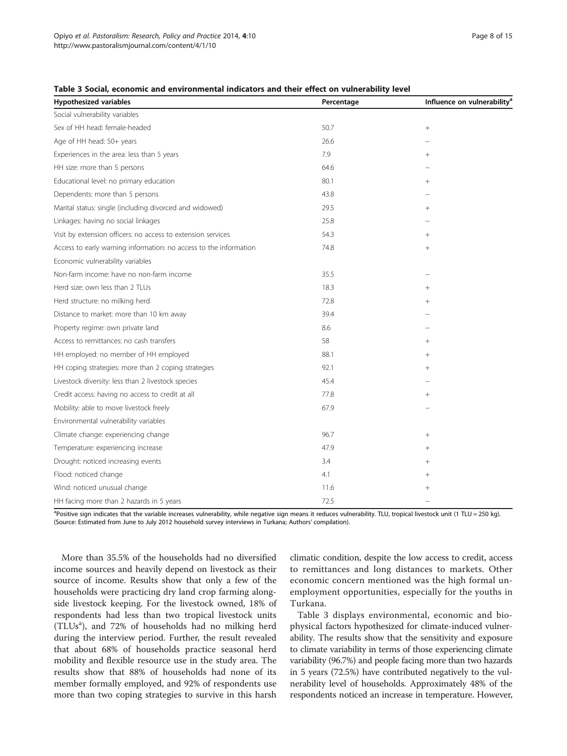| Hypothesized variables                                            | Percentage | Influence on vulnerability <sup>a</sup> |
|-------------------------------------------------------------------|------------|-----------------------------------------|
| Social vulnerability variables                                    |            |                                         |
| Sex of HH head: female-headed                                     | 50.7       | $+$                                     |
| Age of HH head: 50+ years                                         | 26.6       |                                         |
| Experiences in the area: less than 5 years                        | 7.9        | $^{+}$                                  |
| HH size: more than 5 persons                                      | 64.6       |                                         |
| Educational level: no primary education                           | 80.1       | $^{+}$                                  |
| Dependents: more than 5 persons                                   | 43.8       |                                         |
| Marital status: single (including divorced and widowed)           | 29.5       |                                         |
| Linkages: having no social linkages                               | 25.8       |                                         |
| Visit by extension officers: no access to extension services      | 54.3       | $^{+}$                                  |
| Access to early warning information: no access to the information | 74.8       | $+$                                     |
| Economic vulnerability variables                                  |            |                                         |
| Non-farm income: have no non-farm income                          | 35.5       |                                         |
| Herd size: own less than 2 TLUs                                   | 18.3       | $+$                                     |
| Herd structure: no milking herd                                   | 72.8       |                                         |
| Distance to market: more than 10 km away                          | 39.4       |                                         |
| Property regime: own private land                                 | 8.6        |                                         |
| Access to remittances: no cash transfers                          | 58         | $^{+}$                                  |
| HH employed: no member of HH employed                             | 88.1       | $^{+}$                                  |
| HH coping strategies: more than 2 coping strategies               | 92.1       | $^{+}$                                  |
| Livestock diversity: less than 2 livestock species                | 45.4       |                                         |
| Credit access: having no access to credit at all                  | 77.8       | $^{+}$                                  |
| Mobility: able to move livestock freely                           | 67.9       |                                         |
| Environmental vulnerability variables                             |            |                                         |
| Climate change: experiencing change                               | 96.7       | $+$                                     |
| Temperature: experiencing increase                                | 47.9       | $^{+}$                                  |
| Drought: noticed increasing events                                | 3.4        |                                         |
| Flood: noticed change                                             | 4.1        | $^{+}$                                  |
| Wind: noticed unusual change                                      | 11.6       |                                         |
| HH facing more than 2 hazards in 5 years                          | 72.5       |                                         |

<span id="page-7-0"></span>

<sup>a</sup>Positive sign indicates that the variable increases vulnerability, while negative sign means it reduces vulnerability. TLU, tropical livestock unit (1 TLU = 250 kg). (Source: Estimated from June to July 2012 household survey interviews in Turkana; Authors' compilation).

More than 35.5% of the households had no diversified income sources and heavily depend on livestock as their source of income. Results show that only a few of the households were practicing dry land crop farming alongside livestock keeping. For the livestock owned, 18% of respondents had less than two tropical livestock units (TLUs<sup>a</sup>), and 72% of households had no milking herd during the interview period. Further, the result revealed that about 68% of households practice seasonal herd mobility and flexible resource use in the study area. The results show that 88% of households had none of its member formally employed, and 92% of respondents use more than two coping strategies to survive in this harsh climatic condition, despite the low access to credit, access to remittances and long distances to markets. Other economic concern mentioned was the high formal unemployment opportunities, especially for the youths in Turkana.

Table 3 displays environmental, economic and biophysical factors hypothesized for climate-induced vulnerability. The results show that the sensitivity and exposure to climate variability in terms of those experiencing climate variability (96.7%) and people facing more than two hazards in 5 years (72.5%) have contributed negatively to the vulnerability level of households. Approximately 48% of the respondents noticed an increase in temperature. However,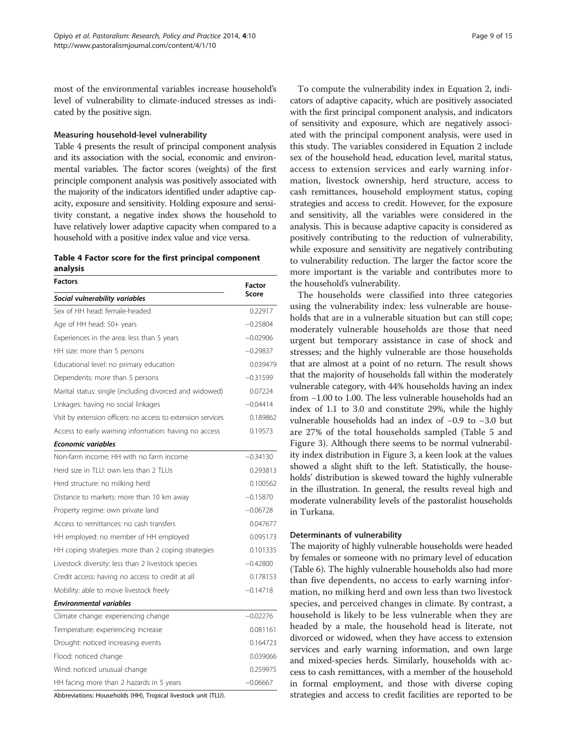most of the environmental variables increase household's level of vulnerability to climate-induced stresses as indicated by the positive sign.

### Measuring household-level vulnerability

Table 4 presents the result of principal component analysis and its association with the social, economic and environmental variables. The factor scores (weights) of the first principle component analysis was positively associated with the majority of the indicators identified under adaptive capacity, exposure and sensitivity. Holding exposure and sensitivity constant, a negative index shows the household to have relatively lower adaptive capacity when compared to a household with a positive index value and vice versa.

# Table 4 Factor score for the first principal component analysis

| <b>Factors</b>                                               | Factor     |  |
|--------------------------------------------------------------|------------|--|
| Social vulnerability variables                               | Score      |  |
| Sex of HH head: female-headed                                | 0.22917    |  |
| Age of HH head: 50+ years                                    | $-0.25804$ |  |
| Experiences in the area: less than 5 years                   | $-0.02906$ |  |
| HH size: more than 5 persons                                 | $-0.29837$ |  |
| Educational level: no primary education                      | 0.039479   |  |
| Dependents: more than 5 persons                              | $-0.31599$ |  |
| Marital status: single (including divorced and widowed)      | 0.07224    |  |
| Linkages: having no social linkages                          | $-0.04414$ |  |
| Visit by extension officers: no access to extension services | 0.189862   |  |
| Access to early warning information: having no access        | 0.19573    |  |
| <b>Economic variables</b>                                    |            |  |
| Non-farm income: HH with no farm income                      | $-0.34130$ |  |
| Herd size in TLU: own less than 2 TLUs                       | 0.293813   |  |
| Herd structure: no milking herd                              | 0.100562   |  |
| Distance to markets: more than 10 km away                    | $-0.15870$ |  |
| Property regime: own private land                            | $-0.06728$ |  |
| Access to remittances: no cash transfers                     | 0.047677   |  |
| HH employed: no member of HH employed                        | 0.095173   |  |
| HH coping strategies: more than 2 coping strategies          | 0.101335   |  |
| Livestock diversity: less than 2 livestock species           | $-0.42800$ |  |
| Credit access: having no access to credit at all             | 0.178153   |  |
| Mobility: able to move livestock freely                      | $-0.14718$ |  |
| <b>Environmental variables</b>                               |            |  |
| Climate change: experiencing change                          | $-0.02276$ |  |
| Temperature: experiencing increase                           | 0.081161   |  |
| Drought: noticed increasing events                           | 0.164723   |  |
| Flood: noticed change                                        | 0.039066   |  |
| Wind: noticed unusual change                                 | 0.259975   |  |
| HH facing more than 2 hazards in 5 years                     | $-0.06667$ |  |

Abbreviations: Households (HH), Tropical livestock unit (TLU).

To compute the vulnerability index in Equation 2, indicators of adaptive capacity, which are positively associated with the first principal component analysis, and indicators of sensitivity and exposure, which are negatively associated with the principal component analysis, were used in this study. The variables considered in Equation 2 include sex of the household head, education level, marital status, access to extension services and early warning information, livestock ownership, herd structure, access to cash remittances, household employment status, coping strategies and access to credit. However, for the exposure and sensitivity, all the variables were considered in the analysis. This is because adaptive capacity is considered as positively contributing to the reduction of vulnerability, while exposure and sensitivity are negatively contributing to vulnerability reduction. The larger the factor score the more important is the variable and contributes more to the household's vulnerability.

The households were classified into three categories using the vulnerability index: less vulnerable are households that are in a vulnerable situation but can still cope; moderately vulnerable households are those that need urgent but temporary assistance in case of shock and stresses; and the highly vulnerable are those households that are almost at a point of no return. The result shows that the majority of households fall within the moderately vulnerable category, with 44% households having an index from −1.00 to 1.00. The less vulnerable households had an index of 1.1 to 3.0 and constitute 29%, while the highly vulnerable households had an index of −0.9 to −3.0 but are 27% of the total households sampled (Table [5](#page-9-0) and Figure [3](#page-9-0)). Although there seems to be normal vulnerability index distribution in Figure [3,](#page-9-0) a keen look at the values showed a slight shift to the left. Statistically, the households' distribution is skewed toward the highly vulnerable in the illustration. In general, the results reveal high and moderate vulnerability levels of the pastoralist households in Turkana.

### Determinants of vulnerability

The majority of highly vulnerable households were headed by females or someone with no primary level of education (Table [6](#page-10-0)). The highly vulnerable households also had more than five dependents, no access to early warning information, no milking herd and own less than two livestock species, and perceived changes in climate. By contrast, a household is likely to be less vulnerable when they are headed by a male, the household head is literate, not divorced or widowed, when they have access to extension services and early warning information, and own large and mixed-species herds. Similarly, households with access to cash remittances, with a member of the household in formal employment, and those with diverse coping strategies and access to credit facilities are reported to be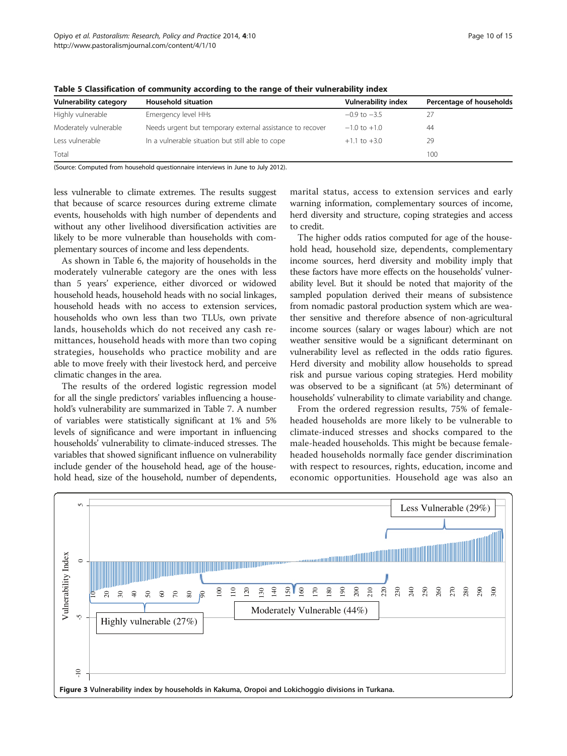| <b>Vulnerability category</b> | <b>Household situation</b>                                | Vulnerability index | Percentage of households |
|-------------------------------|-----------------------------------------------------------|---------------------|--------------------------|
| Highly vulnerable             | Emergency level HHs                                       | $-0.9$ to $-3.5$    |                          |
| Moderately vulnerable         | Needs urgent but temporary external assistance to recover | $-1.0$ to $+1.0$    | 44                       |
| Less vulnerable               | In a vulnerable situation but still able to cope          | $+1.1$ to $+3.0$    | 29                       |
| Total                         |                                                           |                     | 100                      |

<span id="page-9-0"></span>Table 5 Classification of community according to the range of their vulnerability index

(Source: Computed from household questionnaire interviews in June to July 2012).

less vulnerable to climate extremes. The results suggest that because of scarce resources during extreme climate events, households with high number of dependents and without any other livelihood diversification activities are likely to be more vulnerable than households with complementary sources of income and less dependents.

As shown in Table [6,](#page-10-0) the majority of households in the moderately vulnerable category are the ones with less than 5 years' experience, either divorced or widowed household heads, household heads with no social linkages, household heads with no access to extension services, households who own less than two TLUs, own private lands, households which do not received any cash remittances, household heads with more than two coping strategies, households who practice mobility and are able to move freely with their livestock herd, and perceive climatic changes in the area.

The results of the ordered logistic regression model for all the single predictors' variables influencing a household's vulnerability are summarized in Table [7.](#page-11-0) A number of variables were statistically significant at 1% and 5% levels of significance and were important in influencing households' vulnerability to climate-induced stresses. The variables that showed significant influence on vulnerability include gender of the household head, age of the household head, size of the household, number of dependents,

marital status, access to extension services and early warning information, complementary sources of income, herd diversity and structure, coping strategies and access to credit.

The higher odds ratios computed for age of the household head, household size, dependents, complementary income sources, herd diversity and mobility imply that these factors have more effects on the households' vulnerability level. But it should be noted that majority of the sampled population derived their means of subsistence from nomadic pastoral production system which are weather sensitive and therefore absence of non-agricultural income sources (salary or wages labour) which are not weather sensitive would be a significant determinant on vulnerability level as reflected in the odds ratio figures. Herd diversity and mobility allow households to spread risk and pursue various coping strategies. Herd mobility was observed to be a significant (at 5%) determinant of households' vulnerability to climate variability and change.

From the ordered regression results, 75% of femaleheaded households are more likely to be vulnerable to climate-induced stresses and shocks compared to the male-headed households. This might be because femaleheaded households normally face gender discrimination with respect to resources, rights, education, income and economic opportunities. Household age was also an

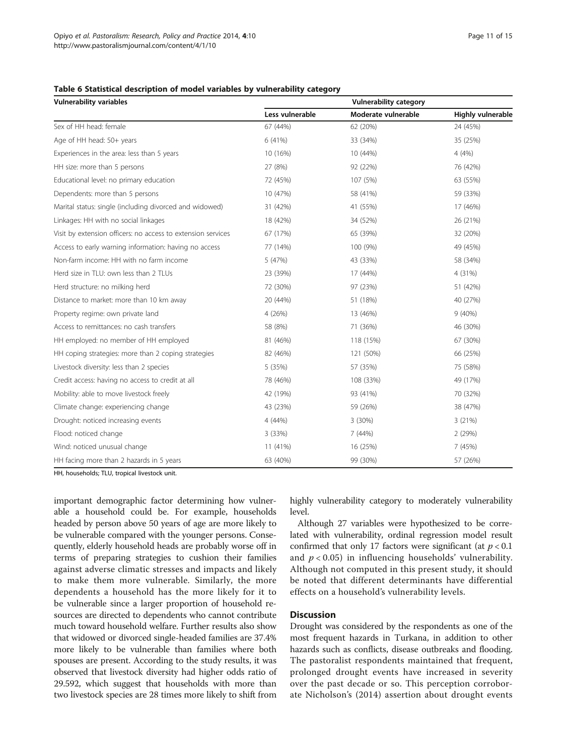#### <span id="page-10-0"></span>Table 6 Statistical description of model variables by vulnerability category

| <b>Vulnerability variables</b>                               | <b>Vulnerability category</b> |                     |                          |  |
|--------------------------------------------------------------|-------------------------------|---------------------|--------------------------|--|
|                                                              | Less vulnerable               | Moderate vulnerable | <b>Highly vulnerable</b> |  |
| Sex of HH head: female                                       | 67 (44%)                      | 62 (20%)            | 24 (45%)                 |  |
| Age of HH head: 50+ years                                    | 6 (41%)                       | 33 (34%)            | 35 (25%)                 |  |
| Experiences in the area: less than 5 years                   | 10 (16%)                      | 10 (44%)            | 4(4%)                    |  |
| HH size: more than 5 persons                                 | 27 (8%)                       | 92 (22%)            | 76 (42%)                 |  |
| Educational level: no primary education                      | 72 (45%)                      | 107 (5%)            | 63 (55%)                 |  |
| Dependents: more than 5 persons                              | 10 (47%)                      | 58 (41%)            | 59 (33%)                 |  |
| Marital status: single (including divorced and widowed)      | 31 (42%)                      | 41 (55%)            | 17 (46%)                 |  |
| Linkages: HH with no social linkages                         | 18 (42%)                      | 34 (52%)            | 26 (21%)                 |  |
| Visit by extension officers: no access to extension services | 67 (17%)                      | 65 (39%)            | 32 (20%)                 |  |
| Access to early warning information: having no access        | 77 (14%)                      | 100 (9%)            | 49 (45%)                 |  |
| Non-farm income: HH with no farm income                      | 5 (47%)                       | 43 (33%)            | 58 (34%)                 |  |
| Herd size in TLU: own less than 2 TLUs                       | 23 (39%)                      | 17 (44%)            | 4 (31%)                  |  |
| Herd structure: no milking herd                              | 72 (30%)                      | 97 (23%)            | 51 (42%)                 |  |
| Distance to market: more than 10 km away                     | 20 (44%)                      | 51 (18%)            | 40 (27%)                 |  |
| Property regime: own private land                            | 4 (26%)                       | 13 (46%)            | 9(40%)                   |  |
| Access to remittances: no cash transfers                     | 58 (8%)                       | 71 (36%)            | 46 (30%)                 |  |
| HH employed: no member of HH employed                        | 81 (46%)                      | 118 (15%)           | 67 (30%)                 |  |
| HH coping strategies: more than 2 coping strategies          | 82 (46%)                      | 121 (50%)           | 66 (25%)                 |  |
| Livestock diversity: less than 2 species                     | 5 (35%)                       | 57 (35%)            | 75 (58%)                 |  |
| Credit access: having no access to credit at all             | 78 (46%)                      | 108 (33%)           | 49 (17%)                 |  |
| Mobility: able to move livestock freely                      | 42 (19%)                      | 93 (41%)            | 70 (32%)                 |  |
| Climate change: experiencing change                          | 43 (23%)                      | 59 (26%)            | 38 (47%)                 |  |
| Drought: noticed increasing events                           | 4 (44%)                       | 3(30%)              | 3(21%)                   |  |
| Flood: noticed change                                        | 3 (33%)                       | 7 (44%)             | 2(29%)                   |  |
| Wind: noticed unusual change                                 | 11 (41%)                      | 16 (25%)            | 7 (45%)                  |  |
| HH facing more than 2 hazards in 5 years                     | 63 (40%)                      | 99 (30%)            | 57 (26%)                 |  |

HH, households; TLU, tropical livestock unit.

important demographic factor determining how vulnerable a household could be. For example, households headed by person above 50 years of age are more likely to be vulnerable compared with the younger persons. Consequently, elderly household heads are probably worse off in terms of preparing strategies to cushion their families against adverse climatic stresses and impacts and likely to make them more vulnerable. Similarly, the more dependents a household has the more likely for it to be vulnerable since a larger proportion of household resources are directed to dependents who cannot contribute much toward household welfare. Further results also show that widowed or divorced single-headed families are 37.4% more likely to be vulnerable than families where both spouses are present. According to the study results, it was observed that livestock diversity had higher odds ratio of 29.592, which suggest that households with more than two livestock species are 28 times more likely to shift from

highly vulnerability category to moderately vulnerability level.

Although 27 variables were hypothesized to be correlated with vulnerability, ordinal regression model result confirmed that only 17 factors were significant (at  $p < 0.1$ ) and  $p < 0.05$ ) in influencing households' vulnerability. Although not computed in this present study, it should be noted that different determinants have differential effects on a household's vulnerability levels.

# **Discussion**

Drought was considered by the respondents as one of the most frequent hazards in Turkana, in addition to other hazards such as conflicts, disease outbreaks and flooding. The pastoralist respondents maintained that frequent, prolonged drought events have increased in severity over the past decade or so. This perception corroborate Nicholson's ([2014](#page-14-0)) assertion about drought events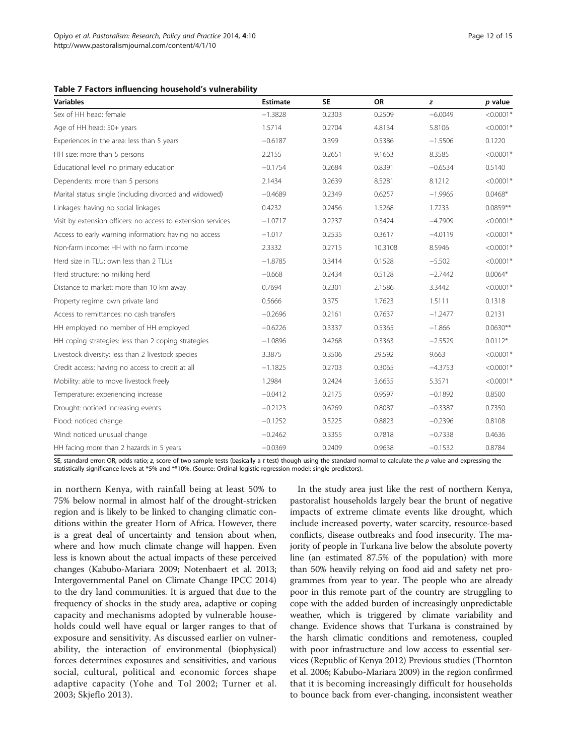#### <span id="page-11-0"></span>Table 7 Factors influencing household's vulnerability

| <b>Variables</b>                                             | <b>Estimate</b> | <b>SE</b> | <b>OR</b> | z         | p value     |
|--------------------------------------------------------------|-----------------|-----------|-----------|-----------|-------------|
| Sex of HH head: female                                       | $-1.3828$       | 0.2303    | 0.2509    | $-6.0049$ | $< 0.0001*$ |
| Age of HH head: 50+ years                                    | 1.5714          | 0.2704    | 4.8134    | 5.8106    | $< 0.0001*$ |
| Experiences in the area: less than 5 years                   | $-0.6187$       | 0.399     | 0.5386    | $-1.5506$ | 0.1220      |
| HH size: more than 5 persons                                 | 2.2155          | 0.2651    | 9.1663    | 8.3585    | $< 0.0001*$ |
| Educational level: no primary education                      | $-0.1754$       | 0.2684    | 0.8391    | $-0.6534$ | 0.5140      |
| Dependents: more than 5 persons                              | 2.1434          | 0.2639    | 8.5281    | 8.1212    | $< 0.0001*$ |
| Marital status: single (including divorced and widowed)      | $-0.4689$       | 0.2349    | 0.6257    | $-1.9965$ | $0.0468*$   |
| Linkages: having no social linkages                          | 0.4232          | 0.2456    | 1.5268    | 1.7233    | $0.0859**$  |
| Visit by extension officers: no access to extension services | $-1.0717$       | 0.2237    | 0.3424    | $-4.7909$ | $< 0.0001*$ |
| Access to early warning information: having no access        | $-1.017$        | 0.2535    | 0.3617    | $-4.0119$ | $< 0.0001*$ |
| Non-farm income: HH with no farm income                      | 2.3332          | 0.2715    | 10.3108   | 8.5946    | $< 0.0001*$ |
| Herd size in TLU: own less than 2 TLUs                       | $-1.8785$       | 0.3414    | 0.1528    | $-5.502$  | $< 0.0001*$ |
| Herd structure: no milking herd                              | $-0.668$        | 0.2434    | 0.5128    | $-2.7442$ | $0.0064*$   |
| Distance to market: more than 10 km away                     | 0.7694          | 0.2301    | 2.1586    | 3.3442    | $< 0.0001*$ |
| Property regime: own private land                            | 0.5666          | 0.375     | 1.7623    | 1.5111    | 0.1318      |
| Access to remittances: no cash transfers                     | $-0.2696$       | 0.2161    | 0.7637    | $-1.2477$ | 0.2131      |
| HH employed: no member of HH employed                        | $-0.6226$       | 0.3337    | 0.5365    | $-1.866$  | $0.0630**$  |
| HH coping strategies: less than 2 coping strategies          | $-1.0896$       | 0.4268    | 0.3363    | $-2.5529$ | $0.0112*$   |
| Livestock diversity: less than 2 livestock species           | 3.3875          | 0.3506    | 29.592    | 9.663     | $< 0.0001*$ |
| Credit access: having no access to credit at all             | $-1.1825$       | 0.2703    | 0.3065    | $-4.3753$ | $< 0.0001*$ |
| Mobility: able to move livestock freely                      | 1.2984          | 0.2424    | 3.6635    | 5.3571    | $< 0.0001*$ |
| Temperature: experiencing increase                           | $-0.0412$       | 0.2175    | 0.9597    | $-0.1892$ | 0.8500      |
| Drought: noticed increasing events                           | $-0.2123$       | 0.6269    | 0.8087    | $-0.3387$ | 0.7350      |
| Flood: noticed change                                        | $-0.1252$       | 0.5225    | 0.8823    | $-0.2396$ | 0.8108      |
| Wind: noticed unusual change                                 | $-0.2462$       | 0.3355    | 0.7818    | $-0.7338$ | 0.4636      |
| HH facing more than 2 hazards in 5 years                     | $-0.0369$       | 0.2409    | 0.9638    | $-0.1532$ | 0.8784      |

SE, standard error; OR, odds ratio; z, score of two sample tests (basically a t test) though using the standard normal to calculate the p value and expressing the statistically significance levels at \*5% and \*\*10%. (Source: Ordinal logistic regression model: single predictors).

in northern Kenya, with rainfall being at least 50% to 75% below normal in almost half of the drought-stricken region and is likely to be linked to changing climatic conditions within the greater Horn of Africa. However, there is a great deal of uncertainty and tension about when, where and how much climate change will happen. Even less is known about the actual impacts of these perceived changes (Kabubo-Mariara [2009](#page-14-0); Notenbaert et al. [2013](#page-14-0); Intergovernmental Panel on Climate Change IPCC [2014](#page-14-0)) to the dry land communities. It is argued that due to the frequency of shocks in the study area, adaptive or coping capacity and mechanisms adopted by vulnerable households could well have equal or larger ranges to that of exposure and sensitivity. As discussed earlier on vulnerability, the interaction of environmental (biophysical) forces determines exposures and sensitivities, and various social, cultural, political and economic forces shape adaptive capacity (Yohe and Tol [2002](#page-14-0); Turner et al. [2003](#page-14-0); Skjeflo [2013\)](#page-14-0).

In the study area just like the rest of northern Kenya, pastoralist households largely bear the brunt of negative impacts of extreme climate events like drought, which include increased poverty, water scarcity, resource-based conflicts, disease outbreaks and food insecurity. The majority of people in Turkana live below the absolute poverty line (an estimated 87.5% of the population) with more than 50% heavily relying on food aid and safety net programmes from year to year. The people who are already poor in this remote part of the country are struggling to cope with the added burden of increasingly unpredictable weather, which is triggered by climate variability and change. Evidence shows that Turkana is constrained by the harsh climatic conditions and remoteness, coupled with poor infrastructure and low access to essential services (Republic of Kenya [2012\)](#page-14-0) Previous studies (Thornton et al. [2006](#page-14-0); Kabubo-Mariara [2009](#page-14-0)) in the region confirmed that it is becoming increasingly difficult for households to bounce back from ever-changing, inconsistent weather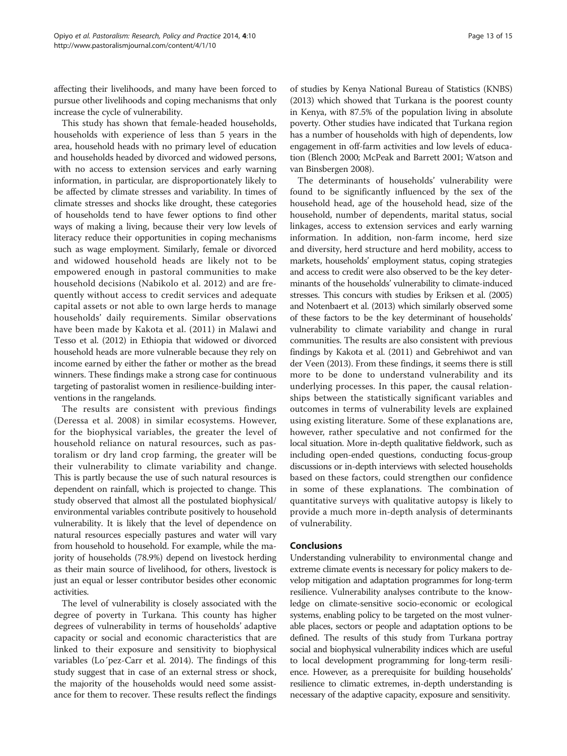affecting their livelihoods, and many have been forced to pursue other livelihoods and coping mechanisms that only increase the cycle of vulnerability.

This study has shown that female-headed households, households with experience of less than 5 years in the area, household heads with no primary level of education and households headed by divorced and widowed persons, with no access to extension services and early warning information, in particular, are disproportionately likely to be affected by climate stresses and variability. In times of climate stresses and shocks like drought, these categories of households tend to have fewer options to find other ways of making a living, because their very low levels of literacy reduce their opportunities in coping mechanisms such as wage employment. Similarly, female or divorced and widowed household heads are likely not to be empowered enough in pastoral communities to make household decisions (Nabikolo et al. [2012\)](#page-14-0) and are frequently without access to credit services and adequate capital assets or not able to own large herds to manage households' daily requirements. Similar observations have been made by Kakota et al. [\(2011\)](#page-14-0) in Malawi and Tesso et al. [\(2012\)](#page-14-0) in Ethiopia that widowed or divorced household heads are more vulnerable because they rely on income earned by either the father or mother as the bread winners. These findings make a strong case for continuous targeting of pastoralist women in resilience-building interventions in the rangelands.

The results are consistent with previous findings (Deressa et al. [2008\)](#page-13-0) in similar ecosystems. However, for the biophysical variables, the greater the level of household reliance on natural resources, such as pastoralism or dry land crop farming, the greater will be their vulnerability to climate variability and change. This is partly because the use of such natural resources is dependent on rainfall, which is projected to change. This study observed that almost all the postulated biophysical/ environmental variables contribute positively to household vulnerability. It is likely that the level of dependence on natural resources especially pastures and water will vary from household to household. For example, while the majority of households (78.9%) depend on livestock herding as their main source of livelihood, for others, livestock is just an equal or lesser contributor besides other economic activities.

The level of vulnerability is closely associated with the degree of poverty in Turkana. This county has higher degrees of vulnerability in terms of households' adaptive capacity or social and economic characteristics that are linked to their exposure and sensitivity to biophysical variables (Lo´pez-Carr et al. [2014\)](#page-14-0). The findings of this study suggest that in case of an external stress or shock, the majority of the households would need some assistance for them to recover. These results reflect the findings

of studies by Kenya National Bureau of Statistics (KNBS) ([2013](#page-14-0)) which showed that Turkana is the poorest county in Kenya, with 87.5% of the population living in absolute poverty. Other studies have indicated that Turkana region has a number of households with high of dependents, low engagement in off-farm activities and low levels of education (Blench [2000](#page-13-0); McPeak and Barrett [2001](#page-14-0); Watson and van Binsbergen [2008\)](#page-14-0).

The determinants of households' vulnerability were found to be significantly influenced by the sex of the household head, age of the household head, size of the household, number of dependents, marital status, social linkages, access to extension services and early warning information. In addition, non-farm income, herd size and diversity, herd structure and herd mobility, access to markets, households' employment status, coping strategies and access to credit were also observed to be the key determinants of the households' vulnerability to climate-induced stresses. This concurs with studies by Eriksen et al. ([2005](#page-13-0)) and Notenbaert et al. [\(2013](#page-14-0)) which similarly observed some of these factors to be the key determinant of households' vulnerability to climate variability and change in rural communities. The results are also consistent with previous findings by Kakota et al. [\(2011](#page-14-0)) and Gebrehiwot and van der Veen ([2013\)](#page-13-0). From these findings, it seems there is still more to be done to understand vulnerability and its underlying processes. In this paper, the causal relationships between the statistically significant variables and outcomes in terms of vulnerability levels are explained using existing literature. Some of these explanations are, however, rather speculative and not confirmed for the local situation. More in-depth qualitative fieldwork, such as including open-ended questions, conducting focus-group discussions or in-depth interviews with selected households based on these factors, could strengthen our confidence in some of these explanations. The combination of quantitative surveys with qualitative autopsy is likely to provide a much more in-depth analysis of determinants of vulnerability.

### **Conclusions**

Understanding vulnerability to environmental change and extreme climate events is necessary for policy makers to develop mitigation and adaptation programmes for long-term resilience. Vulnerability analyses contribute to the knowledge on climate-sensitive socio-economic or ecological systems, enabling policy to be targeted on the most vulnerable places, sectors or people and adaptation options to be defined. The results of this study from Turkana portray social and biophysical vulnerability indices which are useful to local development programming for long-term resilience. However, as a prerequisite for building households' resilience to climatic extremes, in-depth understanding is necessary of the adaptive capacity, exposure and sensitivity.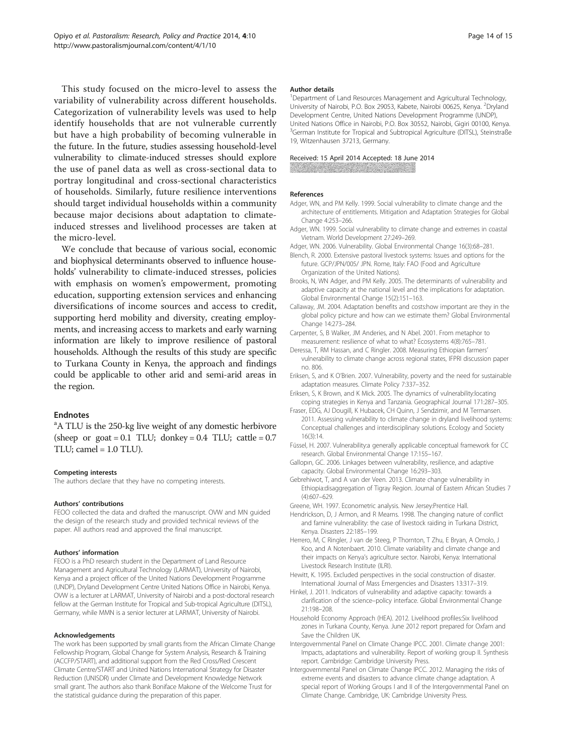<span id="page-13-0"></span>This study focused on the micro-level to assess the variability of vulnerability across different households. Categorization of vulnerability levels was used to help identify households that are not vulnerable currently but have a high probability of becoming vulnerable in the future. In the future, studies assessing household-level vulnerability to climate-induced stresses should explore the use of panel data as well as cross-sectional data to portray longitudinal and cross-sectional characteristics of households. Similarly, future resilience interventions should target individual households within a community because major decisions about adaptation to climateinduced stresses and livelihood processes are taken at the micro-level.

We conclude that because of various social, economic and biophysical determinants observed to influence households' vulnerability to climate-induced stresses, policies with emphasis on women's empowerment, promoting education, supporting extension services and enhancing diversifications of income sources and access to credit, supporting herd mobility and diversity, creating employments, and increasing access to markets and early warning information are likely to improve resilience of pastoral households. Although the results of this study are specific to Turkana County in Kenya, the approach and findings could be applicable to other arid and semi-arid areas in the region.

### Endnotes

<sup>a</sup>A TLU is the 250-kg live weight of any domestic herbivore (sheep or goat =  $0.1$  TLU; donkey =  $0.4$  TLU; cattle =  $0.7$ TLU; camel = 1.0 TLU).

#### Competing interests

The authors declare that they have no competing interests.

#### Authors' contributions

FEOO collected the data and drafted the manuscript. OVW and MN guided the design of the research study and provided technical reviews of the paper. All authors read and approved the final manuscript.

#### Authors' information

FEOO is a PhD research student in the Department of Land Resource Management and Agricultural Technology (LARMAT), University of Nairobi, Kenya and a project officer of the United Nations Development Programme (UNDP), Dryland Development Centre United Nations Office in Nairobi, Kenya. OVW is a lecturer at LARMAT, University of Nairobi and a post-doctoral research fellow at the German Institute for Tropical and Sub-tropical Agriculture (DITSL), Germany, while MMN is a senior lecturer at LARMAT, University of Nairobi.

#### Acknowledgements

The work has been supported by small grants from the African Climate Change Fellowship Program, Global Change for System Analysis, Research & Training (ACCFP/START), and additional support from the Red Cross/Red Crescent Climate Centre/START and United Nations International Strategy for Disaster Reduction (UNISDR) under Climate and Development Knowledge Network small grant. The authors also thank Boniface Makone of the Welcome Trust for the statistical guidance during the preparation of this paper.

#### Author details

<sup>1</sup>Department of Land Resources Management and Agricultural Technology University of Nairobi, P.O. Box 29053, Kabete, Nairobi 00625, Kenya. <sup>2</sup>Dryland Development Centre, United Nations Development Programme (UNDP), United Nations Office in Nairobi, P.O. Box 30552, Nairobi, Gigiri 00100, Kenya. <sup>3</sup>German Institute for Tropical and Subtropical Agriculture (DITSL), Steinstraße 19, Witzenhausen 37213, Germany.

#### Received: 15 April 2014 Accepted: 18 June 2014

#### References

- Adger, WN, and PM Kelly. 1999. Social vulnerability to climate change and the architecture of entitlements. Mitigation and Adaptation Strategies for Global Change 4:253–266.
- Adger, WN. 1999. Social vulnerability to climate change and extremes in coastal Vietnam. World Development 27:249–269.
- Adger, WN. 2006. Vulnerability. Global Environmental Change 16(3):68–281.
- Blench, R. 2000. Extensive pastoral livestock systems: Issues and options for the future. GCP/JPN/005/ JPN. Rome, Italy: FAO (Food and Agriculture Organization of the United Nations).
- Brooks, N, WN Adger, and PM Kelly. 2005. The determinants of vulnerability and adaptive capacity at the national level and the implications for adaptation. Global Environmental Change 15(2):151–163.
- Callaway, JM. 2004. Adaptation benefits and costs:how important are they in the global policy picture and how can we estimate them? Global Environmental Change 14:273–284.
- Carpenter, S, B Walker, JM Anderies, and N Abel. 2001. From metaphor to measurement: resilience of what to what? Ecosystems 4(8):765–781.
- Deressa, T, RM Hassan, and C Ringler. 2008. Measuring Ethiopian farmers' vulnerability to climate change across regional states, IFPRI discussion paper no. 806.
- Eriksen, S, and K O'Brien. 2007. Vulnerability, poverty and the need for sustainable adaptation measures. Climate Policy 7:337–352.
- Eriksen, S, K Brown, and K Mick. 2005. The dynamics of vulnerability:locating coping strategies in Kenya and Tanzania. Geographical Journal 171:287–305.
- Fraser, EDG, AJ Dougill, K Hubacek, CH Quinn, J Sendzimir, and M Termansen. 2011. Assessing vulnerability to climate change in dryland livelihood systems: Conceptual challenges and interdisciplinary solutions. Ecology and Society 16(3):14.
- Füssel, H. 2007. Vulnerability:a generally applicable conceptual framework for CC research. Global Environmental Change 17:155–167.
- Gallopın, GC. 2006. Linkages between vulnerability, resilience, and adaptive capacity. Global Environmental Change 16:293–303.
- Gebrehiwot, T, and A van der Veen. 2013. Climate change vulnerability in Ethiopia:disaggregation of Tigray Region. Journal of Eastern African Studies 7 (4):607–629.
- Greene, WH. 1997. Econometric analysis. New Jersey:Prentice Hall.
- Hendrickson, D, J Armon, and R Mearns. 1998. The changing nature of conflict and famine vulnerability: the case of livestock raiding in Turkana District, Kenya. Disasters 22:185–199.
- Herrero, M, C Ringler, J van de Steeg, P Thornton, T Zhu, E Bryan, A Omolo, J Koo, and A Notenbaert. 2010. Climate variability and climate change and their impacts on Kenya's agriculture sector. Nairobi, Kenya: International Livestock Research Institute (ILRI).
- Hewitt, K. 1995. Excluded perspectives in the social construction of disaster. International Journal of Mass Emergencies and Disasters 13:317–319.
- Hinkel, J. 2011. Indicators of vulnerability and adaptive capacity: towards a clarification of the science–policy interface. Global Environmental Change 21:198–208.
- Household Economy Approach (HEA). 2012. Livelihood profiles:Six livelihood zones in Turkana County, Kenya. June 2012 report prepared for Oxfam and Save the Children UK.
- Intergovernmental Panel on Climate Change IPCC. 2001. Climate change 2001: Impacts, adaptations and vulnerability. Report of working group II. Synthesis report. Cambridge: Cambridge University Press.
- Intergovernmental Panel on Climate Change IPCC. 2012. Managing the risks of extreme events and disasters to advance climate change adaptation. A special report of Working Groups I and II of the Intergovernmental Panel on Climate Change. Cambridge, UK: Cambridge University Press.